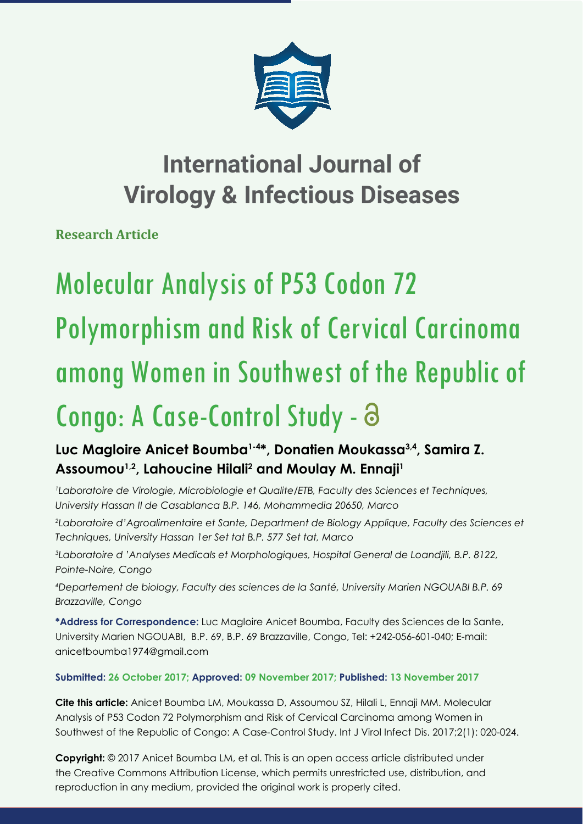

# **International Journal of Virology & Infectious Diseases**

**Research Article** 

# Molecular Analysis of P53 Codon 72 Polymorphism and Risk of Cervical Carcinoma among Women in Southwest of the Republic of Congo: A Case-Control Study -

## **Luc Magloire Anicet Boumba1-4\*, Donatien Moukassa3,4, Samira Z.**  Assoumou<sup>1,2</sup>, Lahoucine Hilali<sup>2</sup> and Moulay M. Ennaji<sup>1</sup>

*1 Laboratoire de Virologie, Microbiologie et Qualite/ETB, Faculty des Sciences et Techniques, University Hassan II de Casablanca B.P. 146, Mohammedia 20650, Marco*

*2 Laboratoire d'Agroalimentaire et Sante, Department de Biology Applique, Faculty des Sciences et Techniques, University Hassan 1er Set tat B.P. 577 Set tat, Marco*

*3 Laboratoire d 'Analyses Medicals et Morphologiques, Hospital General de Loandjili, B.P. 8122, Pointe-Noire, Congo*

*4 Departement de biology, Faculty des sciences de la Santé, University Marien NGOUABI B.P. 69 Brazzaville, Congo*

**\*Address for Correspondence:** Luc Magloire Anicet Boumba, Faculty des Sciences de la Sante, University Marien NGOUABI, B.P. 69, B.P. 69 Brazzaville, Congo, Tel: +242-056-601-040; E-mail: anicetboumba1974@gmail.com

### **Submitted: 26 October 2017; Approved: 09 November 2017; Published: 13 November 2017**

**Cite this article:** Anicet Boumba LM, Moukassa D, Assoumou SZ, Hilali L, Ennaji MM. Molecular Analysis of P53 Codon 72 Polymorphism and Risk of Cervical Carcinoma among Women in Southwest of the Republic of Congo: A Case-Control Study. Int J Virol Infect Dis. 2017;2(1): 020-024.

**Copyright:** © 2017 Anicet Boumba LM, et al. This is an open access article distributed under the Creative Commons Attribution License, which permits unrestricted use, distribution, and reproduction in any medium, provided the original work is properly cited.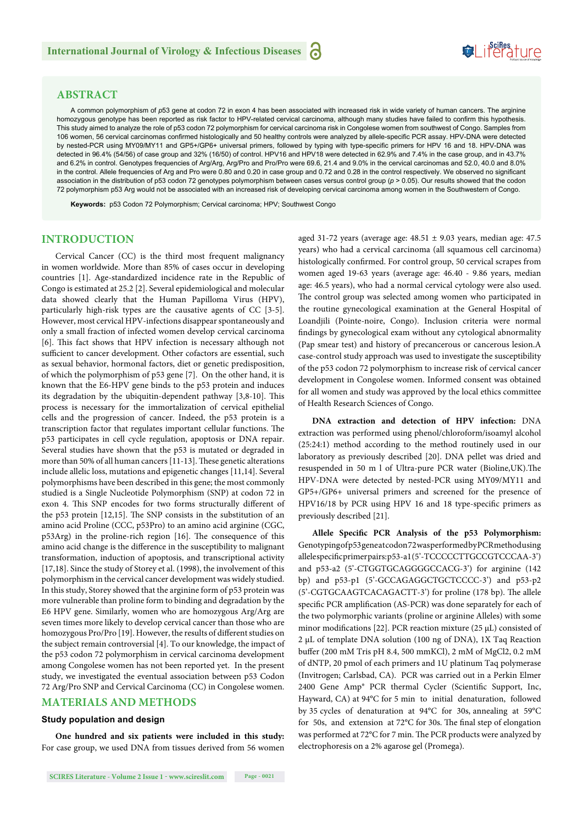#### **ABSTRACT**

A common polymorphism of *p*53 gene at codon 72 in exon 4 has been associated with increased risk in wide variety of human cancers. The arginine homozygous genotype has been reported as risk factor to HPV-related cervical carcinoma, although many studies have failed to confirm this hypothesis. This study aimed to analyze the role of p53 codon 72 polymorphism for cervical carcinoma risk in Congolese women from southwest of Congo. Samples from 106 women, 56 cervical carcinomas confirmed histologically and 50 healthy controls were analyzed by allele-specific PCR assay. HPV-DNA were detected by nested-PCR using MY09/MY11 and GP5+/GP6+ universal primers, followed by typing with type-specific primers for HPV 16 and 18. HPV-DNA was detected in 96.4% (54/56) of case group and 32% (16/50) of control. HPV16 and HPV18 were detected in 62.9% and 7.4% in the case group, and in 43.7% and 6.2% in control. Genotypes frequencies of Arg/Arg, Arg/Pro and Pro/Pro were 69.6, 21.4 and 9.0% in the cervical carcinomas and 52.0, 40.0 and 8.0% in the control. Allele frequencies of Arg and Pro were 0.80 and 0.20 in case group and 0.72 and 0.28 in the control respectively. We observed no significant association in the distribution of p53 codon 72 genotypes polymorphism between cases versus control group (*p* > 0.05). Our results showed that the codon 72 polymorphism p53 Arg would not be associated with an increased risk of developing cervical carcinoma among women in the Southwestern of Congo.

**Keywords:** p53 Codon 72 Polymorphism; Cervical carcinoma; HPV; Southwest Congo

#### **INTRODUCTION**

Cervical Cancer (CC) is the third most frequent malignancy in women worldwide. More than 85% of cases occur in developing countries [1]. Age-standardized incidence rate in the Republic of Congo is estimated at 25.2 [2]. Several epidemiological and molecular data showed clearly that the Human Papilloma Virus (HPV), particularly high-risk types are the causative agents of CC [3-5]. However, most cervical HPV-infections disappear spontaneously and only a small fraction of infected women develop cervical carcinoma [6]. This fact shows that HPV infection is necessary although not sufficient to cancer development. Other cofactors are essential, such as sexual behavior, hormonal factors, diet or genetic predisposition, of which the polymorphism of p53 gene [7]. On the other hand, it is known that the E6-HPV gene binds to the p53 protein and induces its degradation by the ubiquitin-dependent pathway [3,8-10]. This process is necessary for the immortalization of cervical epithelial cells and the progression of cancer. Indeed, the p53 protein is a transcription factor that regulates important cellular functions. The p53 participates in cell cycle regulation, apoptosis or DNA repair. Several studies have shown that the p53 is mutated or degraded in more than 50% of all human cancers [11-13]. These genetic alterations include allelic loss, mutations and epigenetic changes [11,14]. Several polymorphisms have been described in this gene; the most commonly studied is a Single Nucleotide Polymorphism (SNP) at codon 72 in exon 4. This SNP encodes for two forms structurally different of the p53 protein [12,15]. The SNP consists in the substitution of an amino acid Proline (CCC, p53Pro) to an amino acid arginine (CGC, p53Arg) in the proline-rich region [16]. The consequence of this amino acid change is the difference in the susceptibility to malignant transformation, induction of apoptosis, and transcriptional activity [17,18]. Since the study of Storey et al. (1998), the involvement of this polymorphism in the cervical cancer development was widely studied. In this study, Storey showed that the arginine form of p53 protein was more vulnerable than proline form to binding and degradation by the E6 HPV gene. Similarly, women who are homozygous Arg/Arg are seven times more likely to develop cervical cancer than those who are homozygous Pro/Pro [19]. However, the results of different studies on the subject remain controversial [4]. To our knowledge, the impact of the p53 codon 72 polymorphism in cervical carcinoma development among Congolese women has not been reported yet. In the present study, we investigated the eventual association between p53 Codon 72 Arg/Pro SNP and Cervical Carcinoma (CC) in Congolese women.

#### **MATERIALS AND METHODS**

#### **Study population and design**

**One hundred and six patients were included in this study:**  For case group, we used DNA from tissues derived from 56 women aged 31-72 years (average age: 48.51 ± 9.03 years, median age: 47.5 years) who had a cervical carcinoma (all squamous cell carcinoma) histologically confirmed. For control group, 50 cervical scrapes from women aged 19-63 years (average age: 46.40 - 9.86 years, median age: 46.5 years), who had a normal cervical cytology were also used. The control group was selected among women who participated in the routine gynecological examination at the General Hospital of Loandjili (Pointe-noire, Congo). Inclusion criteria were normal findings by gynecological exam without any cytological abnormality (Pap smear test) and history of precancerous or cancerous lesion.A case-control study approach was used to investigate the susceptibility of the p53 codon 72 polymorphism to increase risk of cervical cancer development in Congolese women. Informed consent was obtained for all women and study was approved by the local ethics committee of Health Research Sciences of Congo.

SeiRes ture

**DNA extraction and detection of HPV infection:** DNA extraction was performed using phenol/chloroform/isoamyl alcohol (25:24:1) method according to the method routinely used in our laboratory as previously described [20]. DNA pellet was dried and resuspended in 50 m l of Ultra-pure PCR water (Bioline, UK). The HPV-DNA were detected by nested-PCR using MY09/MY11 and GP5+/GP6+ universal primers and screened for the presence of HPV16/18 by PCR using HPV 16 and 18 type-specific primers as previously described [21].

Allele Specific PCR Analysis of the p53 Polymorphism: Genotyping of p53 gene at codon 72 was performed by PCR method using allelespecific primer pairs: p53-a1(5'-TCCCCCTTGCCGTCCCAA-3') and p53-a2 (5'-CTGGTGCAGGGGCCACG-3') for arginine (142 bp) and p53-p1 (5'-GCCAGAGGCTGCTCCCC-3') and p53-p2 (5'-CGTGCAAGTCACAGACTT-3') for proline (178 bp). The allele specific PCR amplification (AS-PCR) was done separately for each of the two polymorphic variants (proline or arginine Alleles) with some minor modifications [22]. PCR reaction mixture (25  $\mu$ L) consisted of 2 μL of template DNA solution (100 ng of DNA), 1X Taq Reaction buffer (200 mM Tris pH 8.4, 500 mmKCl), 2 mM of MgCl2, 0.2 mM of dNTP, 20 pmol of each primers and 1U platinum Taq polymerase (Invitrogen; Carlsbad, CA). PCR was carried out in a Perkin Elmer 2400 Gene Amp® PCR thermal Cycler (Scientific Support, Inc, Hayward, CA) at 94°C for 5 min to initial denaturation, followed by 35 cycles of denaturation at 94°C for 30s, annealing at 59°C for 50s, and extension at 72 $^{\circ}$ C for 30s. The final step of elongation was performed at 72°C for 7 min. The PCR products were analyzed by electrophoresis on a 2% agarose gel (Promega).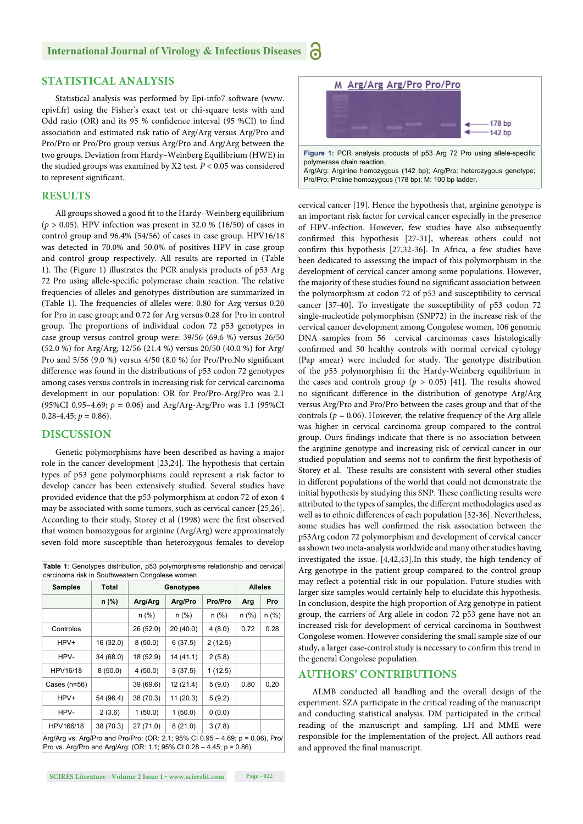#### **STATISTICAL ANALYSIS**

Statistical analysis was performed by Epi-info7 software (www. epivf.fr) using the Fisher's exact test or chi-square tests with and Odd ratio (OR) and its 95 % confidence interval (95 %CI) to find association and estimated risk ratio of Arg/Arg versus Arg/Pro and Pro/Pro or Pro/Pro group versus Arg/Pro and Arg/Arg between the two groups. Deviation from Hardy–Weinberg Equilibrium (HWE) in the studied groups was examined by X2 test. *P* < 0.05 was considered to represent significant.

#### **RESULTS**

All groups showed a good fit to the Hardy–Weinberg equilibrium (*p* > 0.05). HPV infection was present in 32.0 % (16/50) of cases in control group and 96.4% (54/56) of cases in case group. HPV16/18 was detected in 70.0% and 50.0% of positives-HPV in case group and control group respectively. All results are reported in (Table 1). The (Figure 1) illustrates the PCR analysis products of p53 Arg 72 Pro using allele-specific polymerase chain reaction. The relative frequencies of alleles and genotypes distribution are summarized in (Table 1). The frequencies of alleles were: 0.80 for Arg versus 0.20 for Pro in case group; and 0.72 for Arg versus 0.28 for Pro in control group. The proportions of individual codon 72 p53 genotypes in case group versus control group were: 39/56 (69.6 %) versus 26/50 (52.0 %) for Arg/Arg; 12/56 (21.4 %) versus 20/50 (40.0 %) for Arg/ Pro and  $5/56$  (9.0 %) versus  $4/50$  (8.0 %) for Pro/Pro. No significant difference was found in the distributions of p53 codon 72 genotypes among cases versus controls in increasing risk for cervical carcinoma development in our population: OR for Pro/Pro-Arg/Pro was 2.1 (95%CI 0.95–4.69; *p* = 0.06) and Arg/Arg-Arg/Pro was 1.1 (95%CI  $0.28 - 4.45; p = 0.86$ .

#### **DISCUSSION**

Genetic polymorphisms have been described as having a major role in the cancer development  $[23,24]$ . The hypothesis that certain types of p53 gene polymorphisms could represent a risk factor to develop cancer has been extensively studied. Several studies have provided evidence that the p53 polymorphism at codon 72 of exon 4 may be associated with some tumors, such as cervical cancer [25,26]. According to their study, Storey et al (1998) were the first observed that women homozygous for arginine (Arg/Arg) were approximately seven-fold more susceptible than heterozygous females to develop

| <b>Samples</b> | <b>Total</b><br>$n$ (%) | Genotypes |           |         | <b>Alleles</b> |       |
|----------------|-------------------------|-----------|-----------|---------|----------------|-------|
|                |                         | Arg/Arg   | Arg/Pro   | Pro/Pro | Arg            | Pro   |
|                |                         | n (%)     | n (%)     | n (%)   | $n$ (%)        | n (%) |
| Controlos      |                         | 26 (52.0) | 20(40.0)  | 4(8.0)  | 0.72           | 0.28  |
| HPV+           | 16 (32.0)               | 8(50.0)   | 6(37.5)   | 2(12.5) |                |       |
| HPV-           | 34 (68.0)               | 18 (52.9) | 14 (41.1) | 2(5.8)  |                |       |
| HPV16/18       | 8(50.0)                 | 4(50.0)   | 3(37.5)   | 1(12.5) |                |       |
| Cases $(n=56)$ |                         | 39 (69.6) | 12 (21.4) | 5(9.0)  | 0.80           | 0.20  |
| HPV+           | 54 (96.4)               | 38 (70.3) | 11 (20.3) | 5(9.2)  |                |       |
| HPV-           | 2(3.6)                  | 1(50.0)   | 1(50.0)   | 0(0.0)  |                |       |
| HPV166/18      | 38 (70.3)               | 27 (71.0) | 8(21.0)   | 3(7.8)  |                |       |



Arg/Arg: Arginine homozygous (142 bp); Arg/Pro: heterozygous genotype; Pro/Pro: Proline homozygous (178 bp); M: 100 bp ladder.

cervical cancer [19]. Hence the hypothesis that, arginine genotype is an important risk factor for cervical cancer especially in the presence of HPV-infection. However, few studies have also subsequently confirmed this hypothesis [27-31], whereas others could not confirm this hypothesis  $[27,32-36]$ . In Africa, a few studies have been dedicated to assessing the impact of this polymorphism in the development of cervical cancer among some populations. However, the majority of these studies found no significant association between the polymorphism at codon 72 of p53 and susceptibility to cervical cancer [37-40]. To investigate the susceptibility of p53 codon 72 single-nucleotide polymorphism (SNP72) in the increase risk of the cervical cancer development among Congolese women, 106 genomic DNA samples from 56 cervical carcinomas cases histologically confirmed and 50 healthy controls with normal cervical cytology (Pap smear) were included for study. The genotype distribution of the p53 polymorphism fit the Hardy-Weinberg equilibrium in the cases and controls group ( $p > 0.05$ ) [41]. The results showed no significant difference in the distribution of genotype Arg/Arg versus Arg/Pro and Pro/Pro between the cases group and that of the controls ( $p = 0.06$ ). However, the relative frequency of the Arg allele was higher in cervical carcinoma group compared to the control group. Ours findings indicate that there is no association between the arginine genotype and increasing risk of cervical cancer in our studied population and seems not to confirm the first hypothesis of Storey et al. These results are consistent with several other studies in different populations of the world that could not demonstrate the initial hypothesis by studying this SNP. These conflicting results were attributed to the types of samples, the different methodologies used as well as to ethnic differences of each population [32-36]. Nevertheless, some studies has well confirmed the risk association between the p53Arg codon 72 polymorphism and development of cervical cancer as shown two meta-analysis worldwide and many other studies having investigated the issue. [4,42,43].In this study, the high tendency of Arg genotype in the patient group compared to the control group may reflect a potential risk in our population. Future studies with larger size samples would certainly help to elucidate this hypothesis. In conclusion, despite the high proportion of Arg genotype in patient group, the carriers of Arg allele in codon 72 p53 gene have not an increased risk for development of cervical carcinoma in Southwest Congolese women. However considering the small sample size of our study, a larger case-control study is necessary to confirm this trend in the general Congolese population.

#### **AUTHORS' CONTRIBUTIONS**

ALMB conducted all handling and the overall design of the experiment. SZA participate in the critical reading of the manuscript and conducting statistical analysis. DM participated in the critical reading of the manuscript and sampling. LH and MME were responsible for the implementation of the project. All authors read and approved the final manuscript.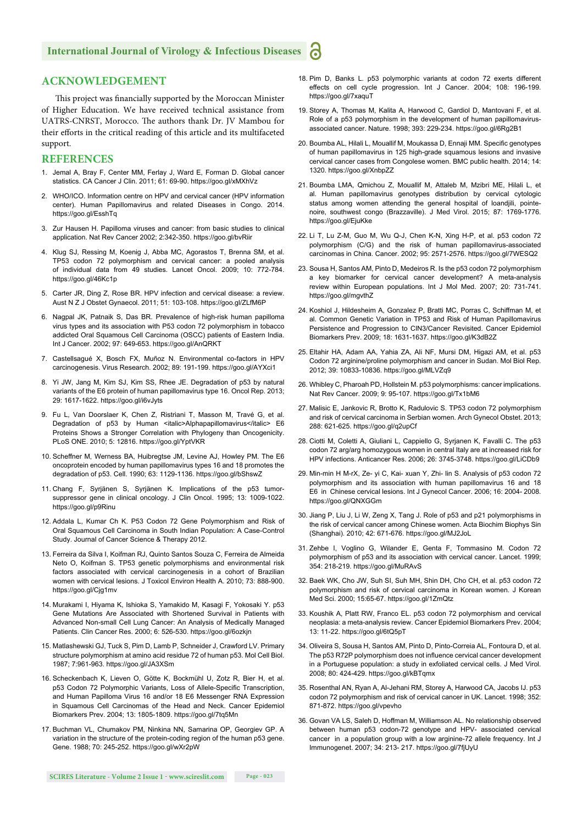#### **ACKNOWLEDGEMENT**

This project was financially supported by the Moroccan Minister of Higher Education. We have received technical assistance from UATRS-CNRST, Morocco. The authors thank Dr. JV Mambou for their efforts in the critical reading of this article and its multifaceted support.

#### **REFERENCES**

- 1. Jemal A, Bray F, Center MM, Ferlay J, Ward E, Forman D. Global cancer statistics. CA Cancer J Clin. 2011; 61: 69-90. https://goo.gl/xMXhVz
- 2. WHO/ICO. Information centre on HPV and cervical cancer (HPV information center). Human Papillomavirus and related Diseases in Congo. 2014. https://goo.gl/EsshTq
- 3. Zur Hausen H. Papilloma viruses and cancer: from basic studies to clinical application. Nat Rev Cancer 2002; 2:342-350. https://goo.gl/bvRiir
- 4. Klug SJ, Ressing M, Koenig J, Abba MC, Agorastos T, Brenna SM, et al. TP53 codon 72 polymorphism and cervical cancer: a pooled analysis of individual data from 49 studies. Lancet Oncol. 2009; 10: 772-784. https://goo.gl/46Kc1p
- 5. Carter JR, Ding Z, Rose BR. HPV infection and cervical disease: a review. Aust N Z J Obstet Gynaecol. 2011; 51: 103-108. https://goo.gl/ZLfM6P
- 6. Nagpal JK, Patnaik S, Das BR. Prevalence of high-risk human papilloma virus types and its association with P53 codon 72 polymorphism in tobacco addicted Oral Squamous Cell Carcinoma (OSCC) patients of Eastern India. Int J Cancer. 2002; 97: 649-653. https://goo.gl/AnQRKT
- 7. Castellsagué X, Bosch FX, Muñoz N. Environmental co-factors in HPV carcinogenesis. Virus Research. 2002; 89: 191-199. https://goo.gl/AYXci1
- 8. Yi JW, Jang M, Kim SJ, Kim SS, Rhee JE. Degradation of p53 by natural variants of the E6 protein of human papillomavirus type 16. Oncol Rep. 2013; 29: 1617-1622. https://goo.gl/i6vJyts
- 9. Fu L, Van Doorslaer K, Chen Z, Ristriani T, Masson M, Travé G, et al. Degradation of p53 by Human <italic>Alphapapillomavirus</italic> E6 Proteins Shows a Stronger Correlation with Phylogeny than Oncogenicity. PLoS ONE. 2010; 5: 12816. https://goo.gl/YptVKR
- 10. Scheffner M, Werness BA, Huibregtse JM, Levine AJ, Howley PM. The E6 oncoprotein encoded by human papillomavirus types 16 and 18 promotes the degradation of p53. Cell. 1990; 63: 1129-1136. https://goo.gl/bShswZ
- 11. Chang F, Syrjänen S, Syrjänen K. Implications of the p53 tumorsuppressor gene in clinical oncology. J Clin Oncol. 1995; 13: 1009-1022. https://goo.gl/p9Rinu
- 12. Addala L, Kumar Ch K. P53 Codon 72 Gene Polymorphism and Risk of Oral Squamous Cell Carcinoma in South Indian Population: A Case-Control Study. Journal of Cancer Science & Therapy 2012.
- 13. Ferreira da Silva I, Koifman RJ, Quinto Santos Souza C, Ferreira de Almeida Neto O, Koifman S. TP53 genetic polymorphisms and environmental risk factors associated with cervical carcinogenesis in a cohort of Brazilian women with cervical lesions. J Toxicol Environ Health A. 2010; 73: 888-900. https://goo.gl/Cig1mv
- 14. Murakami I, Hiyama K, Ishioka S, Yamakido M, Kasagi F, Yokosaki Y. p53 Gene Mutations Are Associated with Shortened Survival in Patients with Advanced Non-small Cell Lung Cancer: An Analysis of Medically Managed Patients. Clin Cancer Res. 2000; 6: 526-530. https://goo.gl/6ozkjn
- 15. Matlashewski GJ, Tuck S, Pim D, Lamb P, Schneider J, Crawford LV. Primary structure polymorphism at amino acid residue 72 of human p53. Mol Cell Biol. 1987; 7:961-963. https://goo.gl/JA3XSm
- 16. Scheckenbach K, Lieven O, Götte K, Bockmühl U, Zotz R, Bier H, et al. p53 Codon 72 Polymorphic Variants, Loss of Allele-Specific Transcription, and Human Papilloma Virus 16 and/or 18 E6 Messenger RNA Expression in Squamous Cell Carcinomas of the Head and Neck. Cancer Epidemiol Biomarkers Prev. 2004; 13: 1805-1809. https://goo.gl/7tq5Mn
- 17. Buchman VL, Chumakov PM, Ninkina NN, Samarina OP, Georgiev GP. A variation in the structure of the protein-coding region of the human p53 gene. Gene. 1988; 70: 245-252. https://goo.gl/wXr2pW
- 18. Pim D, Banks L. p53 polymorphic variants at codon 72 exerts different effects on cell cycle progression. Int J Cancer. 2004; 108: 196-199. https://goo.gl/7xaquT
- 19. Storey A, Thomas M, Kalita A, Harwood C, Gardiol D, Mantovani F, et al. Role of a p53 polymorphism in the development of human papillomavirusassociated cancer. Nature. 1998; 393: 229-234. https://goo.gl/6Rg2B1
- 20. Boumba AL, Hilali L, Mouallif M, Moukassa D, Ennaji MM. Specific genotypes of human papillomavirus in 125 high-grade squamous lesions and invasive cervical cancer cases from Congolese women. BMC public health. 2014; 14: 1320. https://goo.gl/XnbpZZ
- 21. Boumba LMA, Qmichou Z, Mouallif M, Attaleb M, Mzibri ME, Hilali L, et al. Human papillomavirus genotypes distribution by cervical cytologic status among women attending the general hospital of loandjili, pointenoire, southwest congo (Brazzaville). J Med Virol. 2015; 87: 1769-1776. https://goo.gl/EjuKke
- 22. Li T, Lu Z-M, Guo M, Wu Q-J, Chen K-N, Xing H-P, et al. p53 codon 72 polymorphism (C/G) and the risk of human papillomavirus-associated carcinomas in China. Cancer. 2002; 95: 2571-2576. https://goo.gl/7WESQ2
- 23. Sousa H, Santos AM, Pinto D, Medeiros R. Is the p53 codon 72 polymorphism a key biomarker for cervical cancer development? A meta-analysis review within European populations. Int J Mol Med. 2007; 20: 731-741. https://goo.gl/mgvthZ
- 24. Koshiol J, Hildesheim A, Gonzalez P, Bratti MC, Porras C, Schiffman M, et al. Common Genetic Variation in TP53 and Risk of Human Papillomavirus Persistence and Progression to CIN3/Cancer Revisited. Cancer Epidemiol Biomarkers Prev. 2009; 18: 1631-1637. https://goo.gl/K3dB2Z
- 25. Eltahir HA, Adam AA, Yahia ZA, Ali NF, Mursi DM, Higazi AM, et al. p53 Codon 72 arginine/proline polymorphism and cancer in Sudan. Mol Biol Rep. 2012; 39: 10833-10836. https://goo.gl/MLVZq9
- 26. Whibley C, Pharoah PD, Hollstein M. p53 polymorphisms: cancer implications. Nat Rev Cancer. 2009; 9: 95-107. https://goo.gl/Tx1bM6
- 27. Malisic E, Jankovic R, Brotto K, Radulovic S. TP53 codon 72 polymorphism and risk of cervical carcinoma in Serbian women. Arch Gynecol Obstet. 2013; 288: 621-625. https://goo.gl/q2upCf
- 28. Ciotti M, Coletti A, Giuliani L, Cappiello G, Syrjanen K, Favalli C. The p53 codon 72 arg/arg homozygous women in central Italy are at increased risk for HPV infections. Anticancer Res. 2006; 26: 3745-3748. https://goo.gl/LiCDb9
- 29. Min-min H M-rX, Ze- yi C, Kai- xuan Y, Zhi- lin S. Analysis of p53 codon 72 polymorphism and its association with human papillomavirus 16 and 18 E6 in Chinese cervical lesions. Int J Gynecol Cancer. 2006; 16: 2004- 2008. https://goo.gl/QNXGGm
- 30. Jiang P, Liu J, Li W, Zeng X, Tang J. Role of p53 and p21 polymorphisms in the risk of cervical cancer among Chinese women. Acta Biochim Biophys Sin (Shanghai). 2010; 42: 671-676. https://goo.gl/MJ2JoL
- 31. Zehbe I, Voglino G, Wilander E, Genta F, Tommasino M. Codon 72 polymorphism of p53 and its association with cervical cancer. Lancet. 1999; 354: 218-219. https://goo.gl/MuRAvS
- 32. Baek WK, Cho JW, Suh SI, Suh MH, Shin DH, Cho CH, et al. p53 codon 72 polymorphism and risk of cervical carcinoma in Korean women. J Korean Med Sci. 2000; 15:65-67. https://goo.gl/1ZmQtz
- 33. Koushik A, Platt RW, Franco EL. p53 codon 72 polymorphism and cervical neoplasia: a meta-analysis review. Cancer Epidemiol Biomarkers Prev. 2004; 13: 11-22. https://goo.gl/6tQ5pT
- 34. Oliveira S, Sousa H, Santos AM, Pinto D, Pinto-Correia AL, Fontoura D, et al. The p53 R72P polymorphism does not influence cervical cancer development in a Portuguese population: a study in exfoliated cervical cells. J Med Virol. 2008; 80: 424-429. https://goo.gl/kBTqmx
- 35. Rosenthal AN, Ryan A, Al-Jehani RM, Storey A, Harwood CA, Jacobs IJ. p53 codon 72 polymorphism and risk of cervical cancer in UK. Lancet. 1998; 352: 871-872. https://goo.gl/vpevho
- 36. Govan VA LS, Saleh D, Hoffman M, Williamson AL. No relationship observed between human p53 codon-72 genotype and HPV- associated cervical cancer in a population group with a low arginine-72 allele frequency. Int J Immunogenet. 2007; 34: 213- 217. https://goo.gl/7fjUyU